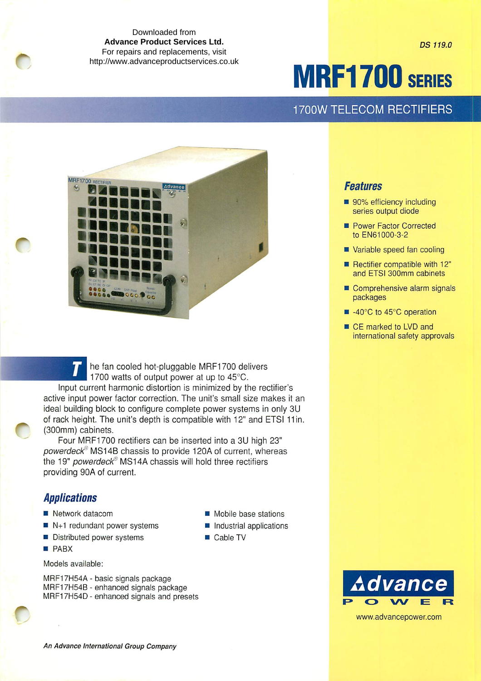Downloaded from **Advance Product Services Ltd.**  For repairs and replacements, visit <http://www.advanceproductservices.co.uk>

*MRF1700 SERIES*

*DS 119.0*

# 1700W TELECOM RECTIFIERS

**Features**

packages

■ 90% efficiency including series output diode **Power Factor Corrected** to EN61000-3-2

Variable speed fan cooling **• Rectifier compatible with 12"** and ETSI 300mm cabinets Comprehensive alarm signals

■ -40°C to 45°C operation ■ CE marked to LVD and

international safety approvals



he fan cooled hot-pluggable MRF1700 delivers 1700 watts of output power at up to 45°C. Input current harmonic distortion is minimized by the rectifier's active input power factor correction. The unit's small size makes it an ideal building block to configure complete power systems in only 3U of rack height. The unit's depth is compatible with 12" and ETSI 11in. (300mm) cabinets.

Four MRF1700 rectifiers can be inserted into a 3U high 23" powerdeck<sup>®</sup> MS14B chassis to provide 120A of current, whereas the 19" **powerdeck'** MS14A chassis will hold three rectifiers providing 90A of current.

## **Applications**

- $\blacksquare$  Network datacom
- $\blacksquare$  N+1 redundant power systems
- **Distributed power systems**
- *PABX*

### Models available:

MRF17H54A - basic signals package MRF17H54B - enhanced signals package MRF17H54D- enhanced signals and presets

- Mobile base stations
- $\blacksquare$  Industrial applications
- Cable TV



www.advancepower.com

**An Advance International Group Company**